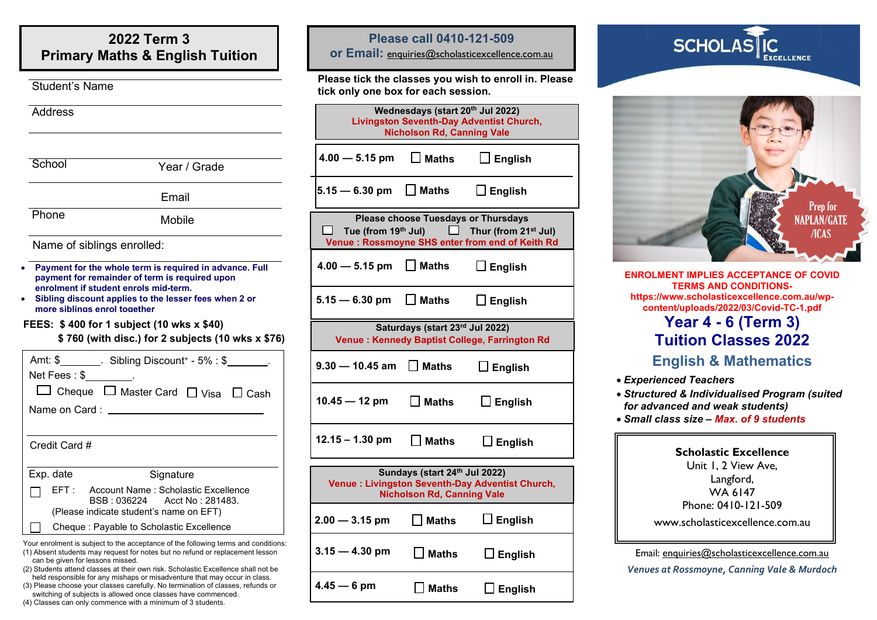## **2022 Term 3 Primary Maths & English Tuition**

| Address   |                                    |                                                                                                                                                                                                                                             |
|-----------|------------------------------------|---------------------------------------------------------------------------------------------------------------------------------------------------------------------------------------------------------------------------------------------|
|           |                                    |                                                                                                                                                                                                                                             |
| School    |                                    | Year / Grade                                                                                                                                                                                                                                |
|           |                                    | Email                                                                                                                                                                                                                                       |
| Phone     |                                    | Mobile                                                                                                                                                                                                                                      |
|           |                                    | Name of siblings enrolled:                                                                                                                                                                                                                  |
|           |                                    | Payment for the whole term is required in advance. Full<br>payment for remainder of term is required upon<br>enrolment if student enrols mid-term.<br>Sibling discount applies to the lesser fees when 2 or<br>more siblings enrol together |
|           |                                    | FEES: \$400 for 1 subject (10 wks x \$40)<br>\$760 (with disc.) for 2 subjects (10 wks x \$76)                                                                                                                                              |
|           |                                    | Amt: $\frac{1}{2}$ _______. Sibling Discount + - 5% : \$                                                                                                                                                                                    |
|           | Net Fees: $\frac{1}{2}$ _________. |                                                                                                                                                                                                                                             |
|           |                                    | $\exists$ Cheque $\;\Box$ Master Card $\;\Box$ Visa $\;\Box$ Cash                                                                                                                                                                           |
|           |                                    | Name on Card: _______                                                                                                                                                                                                                       |
|           | Credit Card #                      |                                                                                                                                                                                                                                             |
|           |                                    | Signature                                                                                                                                                                                                                                   |
| Exp. date | EFT:                               | Account Name: Scholastic Excellence<br>BSB: 036224 Acct No: 281483.<br>(Please indicate student's name on EFT)                                                                                                                              |

- ) Absent students may request for<br>can be given for lessons missed. (1) Absent students may request for notes but no refund or replacement lesson
- (2) Students attend classes at their own risk. Scholastic Excellence shall not be held responsible for any mishaps or misadventure that may occur in class.
- (3) Please choose your classes carefully. No termination of classes, refunds or switching of subjects is allowed once classes have commenced.
- (4) Classes can only commence with a minimum of 3 students.

### **Please call 0410-121-509**

**or Email:** [enquiries@scholasticexcellence.com.au](mailto:enquiries@scholasticexcellence.com.au)

**Please tick the classes you wish to enroll in. Please tick only one box for each session.** Student's Name

| Wednesdays (start 20th Jul 2022)<br><b>Livingston Seventh-Day Adventist Church,</b><br><b>Nicholson Rd, Canning Vale</b>                                               |                 |                  |  |  |
|------------------------------------------------------------------------------------------------------------------------------------------------------------------------|-----------------|------------------|--|--|
| $4.00 - 5.15$ pm $\Box$ Maths                                                                                                                                          |                 | $\Box$ English   |  |  |
| 5.15 — 6.30 pm $\Box$ Maths                                                                                                                                            |                 | $\Box$ English   |  |  |
| <b>Please choose Tuesdays or Thursdays</b><br>□ Tue (from 19 <sup>th</sup> Jul) □ Thur (from 21 <sup>st</sup> Jul)<br>Venue : Rossmoyne SHS enter from end of Keith Rd |                 |                  |  |  |
| 4.00 – 5.15 pm $\Box$ Maths                                                                                                                                            |                 | $\Box$ English   |  |  |
| $5.15 - 6.30$ pm $\Box$ Maths                                                                                                                                          |                 | $\Box$ English   |  |  |
| Saturdays (start 23rd Jul 2022)<br>Venue: Kennedy Baptist College, Farrington Rd                                                                                       |                 |                  |  |  |
| $9.30 - 10.45$ am $\Box$ Maths                                                                                                                                         |                 | $\Box$ English   |  |  |
| $10.45 - 12 \text{ pm}$                                                                                                                                                | $\square$ Maths | $\Box$ English   |  |  |
| $12.15 - 1.30$ pm                                                                                                                                                      | $\square$ Maths | $\Box$ English   |  |  |
| Sundays (start 24th Jul 2022)<br>Venue : Livingston Seventh-Day Adventist Church,<br><b>Nicholson Rd, Canning Vale</b>                                                 |                 |                  |  |  |
| 2.00 — 3.15 pm                                                                                                                                                         | $\Box$ Maths    | $\Box$ English   |  |  |
| $3.15 - 4.30$ pm                                                                                                                                                       | $\Box$ Maths    | <b>」 English</b> |  |  |
| $4.45 - 6$ pm                                                                                                                                                          | $\Box$ Maths    | _l English       |  |  |





**ENROLMENT IMPLIES ACCEPTANCE OF COVID TERMS AND CONDITIONShttps://www.scholasticexcellence.com.au/wpcontent/uploads/2022/03/Covid-TC-1.pdf**

# **Year 4 - 6 (Term 3) Tuition Classes 2022**

## **English & Mathematics**

- *Experienced Teachers*
- *Structured & Individualised Program (suited for advanced and weak students)*
- *Small class size Max. of 9 students*

**Scholastic Excellence** Unit 1, 2 View Ave, Langford, WA 6147 Phone: 0410-121-509 www.scholasticexcellence.com.au

Email: [enquiries@scholasticexcellence.com.au](mailto:enquiries@scholasticexcellence.com.au) *Venues at Rossmoyne, Canning Vale & Murdoch*